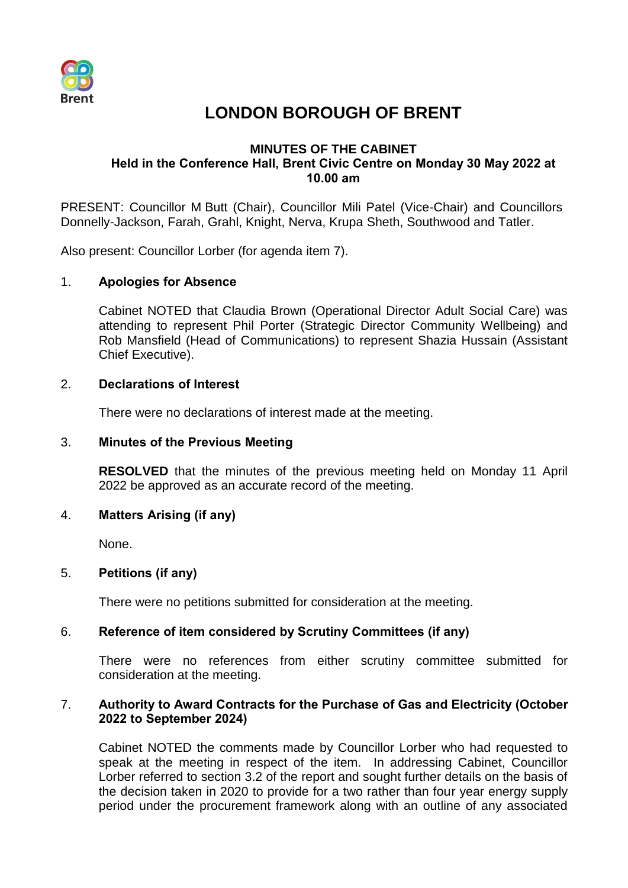

# **LONDON BOROUGH OF BRENT**

# **MINUTES OF THE CABINET Held in the Conference Hall, Brent Civic Centre on Monday 30 May 2022 at 10.00 am**

PRESENT: Councillor M Butt (Chair), Councillor Mili Patel (Vice-Chair) and Councillors Donnelly-Jackson, Farah, Grahl, Knight, Nerva, Krupa Sheth, Southwood and Tatler.

Also present: Councillor Lorber (for agenda item 7).

# 1. **Apologies for Absence**

Cabinet NOTED that Claudia Brown (Operational Director Adult Social Care) was attending to represent Phil Porter (Strategic Director Community Wellbeing) and Rob Mansfield (Head of Communications) to represent Shazia Hussain (Assistant Chief Executive).

# 2. **Declarations of Interest**

There were no declarations of interest made at the meeting.

## 3. **Minutes of the Previous Meeting**

**RESOLVED** that the minutes of the previous meeting held on Monday 11 April 2022 be approved as an accurate record of the meeting.

## 4. **Matters Arising (if any)**

None.

## 5. **Petitions (if any)**

There were no petitions submitted for consideration at the meeting.

# 6. **Reference of item considered by Scrutiny Committees (if any)**

There were no references from either scrutiny committee submitted for consideration at the meeting.

## 7. **Authority to Award Contracts for the Purchase of Gas and Electricity (October 2022 to September 2024)**

Cabinet NOTED the comments made by Councillor Lorber who had requested to speak at the meeting in respect of the item. In addressing Cabinet, Councillor Lorber referred to section 3.2 of the report and sought further details on the basis of the decision taken in 2020 to provide for a two rather than four year energy supply period under the procurement framework along with an outline of any associated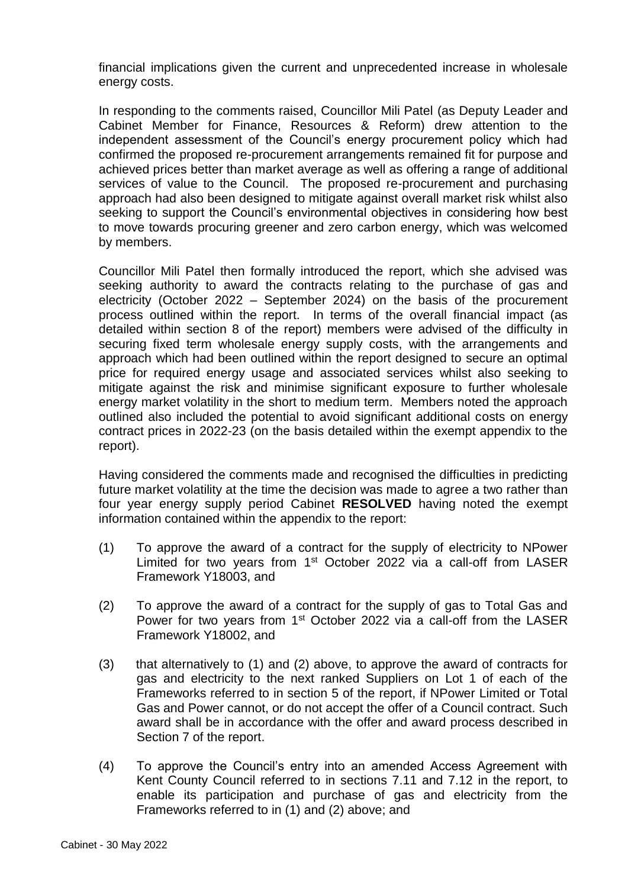financial implications given the current and unprecedented increase in wholesale energy costs.

In responding to the comments raised, Councillor Mili Patel (as Deputy Leader and Cabinet Member for Finance, Resources & Reform) drew attention to the independent assessment of the Council's energy procurement policy which had confirmed the proposed re-procurement arrangements remained fit for purpose and achieved prices better than market average as well as offering a range of additional services of value to the Council. The proposed re-procurement and purchasing approach had also been designed to mitigate against overall market risk whilst also seeking to support the Council's environmental objectives in considering how best to move towards procuring greener and zero carbon energy, which was welcomed by members.

Councillor Mili Patel then formally introduced the report, which she advised was seeking authority to award the contracts relating to the purchase of gas and electricity (October 2022 – September 2024) on the basis of the procurement process outlined within the report. In terms of the overall financial impact (as detailed within section 8 of the report) members were advised of the difficulty in securing fixed term wholesale energy supply costs, with the arrangements and approach which had been outlined within the report designed to secure an optimal price for required energy usage and associated services whilst also seeking to mitigate against the risk and minimise significant exposure to further wholesale energy market volatility in the short to medium term. Members noted the approach outlined also included the potential to avoid significant additional costs on energy contract prices in 2022-23 (on the basis detailed within the exempt appendix to the report).

Having considered the comments made and recognised the difficulties in predicting future market volatility at the time the decision was made to agree a two rather than four year energy supply period Cabinet **RESOLVED** having noted the exempt information contained within the appendix to the report:

- (1) To approve the award of a contract for the supply of electricity to NPower Limited for two years from 1<sup>st</sup> October 2022 via a call-off from LASER Framework Y18003, and
- (2) To approve the award of a contract for the supply of gas to Total Gas and Power for two years from 1<sup>st</sup> October 2022 via a call-off from the LASER Framework Y18002, and
- (3) that alternatively to (1) and (2) above, to approve the award of contracts for gas and electricity to the next ranked Suppliers on Lot 1 of each of the Frameworks referred to in section 5 of the report, if NPower Limited or Total Gas and Power cannot, or do not accept the offer of a Council contract. Such award shall be in accordance with the offer and award process described in Section 7 of the report.
- (4) To approve the Council's entry into an amended Access Agreement with Kent County Council referred to in sections 7.11 and 7.12 in the report, to enable its participation and purchase of gas and electricity from the Frameworks referred to in (1) and (2) above; and